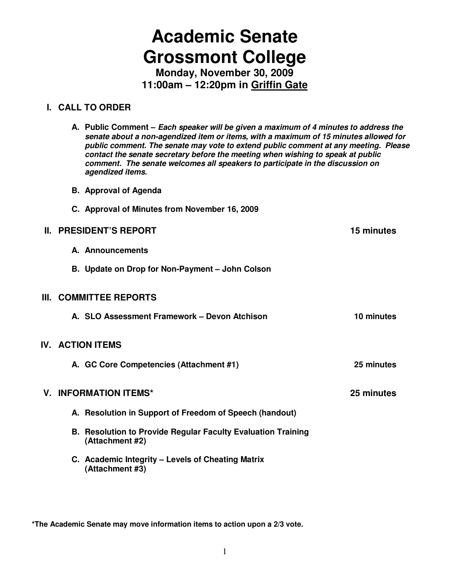# **Academic Senate Grossmont College**

**Monday, November 30, 2009 11:00am – 12:20pm in Griffin Gate**

#### **I. CALL TO ORDER**

|  | A. Public Comment – Each speaker will be given a maximum of 4 minutes to address the<br>senate about a non-agendized item or items, with a maximum of 15 minutes allowed for<br>public comment. The senate may vote to extend public comment at any meeting. Please<br>contact the senate secretary before the meeting when wishing to speak at public<br>comment. The senate welcomes all speakers to participate in the discussion on<br>agendized items. |            |
|--|-------------------------------------------------------------------------------------------------------------------------------------------------------------------------------------------------------------------------------------------------------------------------------------------------------------------------------------------------------------------------------------------------------------------------------------------------------------|------------|
|  | <b>B.</b> Approval of Agenda                                                                                                                                                                                                                                                                                                                                                                                                                                |            |
|  | C. Approval of Minutes from November 16, 2009                                                                                                                                                                                                                                                                                                                                                                                                               |            |
|  | <b>II. PRESIDENT'S REPORT</b>                                                                                                                                                                                                                                                                                                                                                                                                                               | 15 minutes |
|  | A. Announcements                                                                                                                                                                                                                                                                                                                                                                                                                                            |            |
|  | B. Update on Drop for Non-Payment - John Colson                                                                                                                                                                                                                                                                                                                                                                                                             |            |
|  | III. COMMITTEE REPORTS                                                                                                                                                                                                                                                                                                                                                                                                                                      |            |
|  | A. SLO Assessment Framework - Devon Atchison                                                                                                                                                                                                                                                                                                                                                                                                                | 10 minutes |
|  | <b>IV. ACTION ITEMS</b>                                                                                                                                                                                                                                                                                                                                                                                                                                     |            |
|  | A. GC Core Competencies (Attachment #1)                                                                                                                                                                                                                                                                                                                                                                                                                     | 25 minutes |
|  | <b>V. INFORMATION ITEMS*</b>                                                                                                                                                                                                                                                                                                                                                                                                                                | 25 minutes |
|  | A. Resolution in Support of Freedom of Speech (handout)                                                                                                                                                                                                                                                                                                                                                                                                     |            |
|  | <b>B. Resolution to Provide Regular Faculty Evaluation Training</b><br>(Attachment #2)                                                                                                                                                                                                                                                                                                                                                                      |            |
|  | C. Academic Integrity - Levels of Cheating Matrix<br>(Attachment #3)                                                                                                                                                                                                                                                                                                                                                                                        |            |
|  |                                                                                                                                                                                                                                                                                                                                                                                                                                                             |            |

**\*The Academic Senate may move information items to action upon a 2/3 vote.**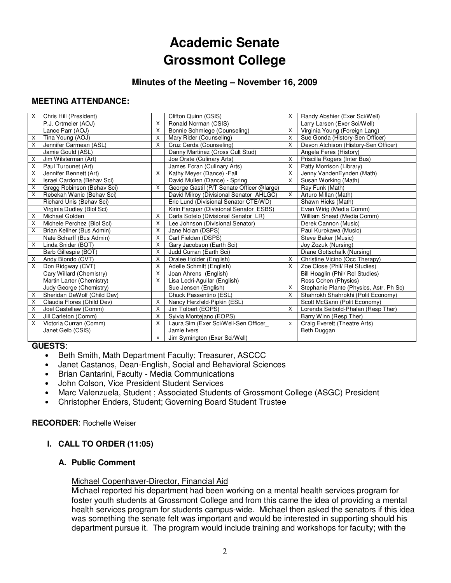## **Academic Senate Grossmont College**

#### **Minutes of the Meeting – November 16, 2009**

#### **MEETING ATTENDANCE:**

| $\times$ | Chris Hill (President)      |   | Clifton Quinn (CSIS)                      | X | Randy Abshier (Exer Sci/Well)           |  |
|----------|-----------------------------|---|-------------------------------------------|---|-----------------------------------------|--|
|          | P.J. Ortmeier (AOJ)         |   | Ronald Norman (CSIS)                      |   | Larry Larsen (Exer Sci/Well)            |  |
|          | Lance Parr (AOJ)            | X | Bonnie Schmiege (Counseling)              | X | Virginia Young (Foreign Lang)           |  |
| X        | Tina Young (AOJ)            | X | Mary Rider (Counseling)                   | X | Sue Gonda (History-Sen Officer)         |  |
| X        | Jennifer Carmean (ASL)      | X | Cruz Cerda (Counseling)                   | X | Devon Atchison (History-Sen Officer)    |  |
|          | Jamie Gould (ASL)           |   | Danny Martinez (Cross Cult Stud)          |   | Angela Feres (History)                  |  |
| X        | Jim Wilsterman (Art)        |   | Joe Orate (Culinary Arts)                 | X | Priscilla Rogers (Inter Bus)            |  |
| X        | Paul Turounet (Art)         |   | James Foran (Culinary Arts)               | X | Patty Morrison (Library)                |  |
| X        | Jennifer Bennett (Art)      | X | Kathy Meyer (Dance) - Fall                | X | Jenny VandenEynden (Math)               |  |
| X        | Israel Cardona (Behav Sci)  |   | David Mullen (Dance) - Spring             | X | Susan Working (Math)                    |  |
| X        | Gregg Robinson (Behav Sci)  | X | George Gastil (P/T Senate Officer @large) |   | Ray Funk (Math)                         |  |
| X        | Rebekah Wanic (Behav Sci)   |   | David Milroy (Divisional Senator AHLGC)   | X | Arturo Millan (Math)                    |  |
|          | Richard Unis (Behav Sci)    |   | Eric Lund (Divisional Senator CTE/WD)     |   | Shawn Hicks (Math)                      |  |
|          | Virginia Dudley (Biol Sci)  |   | Kirin Farquar (Divisional Senator ESBS)   |   | Evan Wirig (Media Comm)                 |  |
| Χ        | Michael Golden              | X | Carla Sotelo (Divisional Senator LR)      |   | William Snead (Media Comm)              |  |
| X        | Michele Perchez (Biol Sci)  | X | Lee Johnson (Divisional Senator)          |   | Derek Cannon (Music)                    |  |
| X        | Brian Keliher (Bus Admin)   | X | Jane Nolan (DSPS)                         |   | Paul Kurokawa (Music)                   |  |
|          | Nate Scharff (Bus Admin)    | X | Carl Fielden (DSPS)                       |   | Steve Baker (Music)                     |  |
| X        | Linda Snider (BOT)          | X | Gary Jacobson (Earth Sci)                 |   | Joy Zozuk (Nursing)                     |  |
|          | Barb Gillespie (BOT)        | X | Judd Curran (Earth Sci)                   |   | Diane Gottschalk (Nursing)              |  |
| X        | Andy Biondo (CVT)           | X | Oralee Holder (English)                   | X | Christine Vicino (Occ Therapy)          |  |
| X        | Don Ridgway (CVT)           | X | Adelle Schmitt (English)                  | X | Zoe Close (Phil/ Rel Studies)           |  |
|          | Cary Willard (Chemistry)    | X | Joan Ahrens (English)                     |   | Bill Hoaglin (Phil/ Rel Studies)        |  |
|          | Martin Larter (Chemistry)   | X | Lisa Ledri-Aguilar (English)              |   | Ross Cohen (Physics)                    |  |
|          | Judy George (Chemistry)     |   | Sue Jensen (English)                      | X | Stephanie Plante (Physics, Astr. Ph Sc) |  |
| X        | Sheridan DeWolf (Child Dev) |   | Chuck Passentino (ESL)                    | X | Shahrokh Shahrokhi (Polit Economy)      |  |
| X        | Claudia Flores (Child Dev)  | X | Nancy Herzfeld-Pipkin (ESL)               |   | Scott McGann (Polit Economy)            |  |
| X        | Joel Castellaw (Comm)       | X | Jim Tolbert (EOPS)                        | X | Lorenda Seibold-Phalan (Resp Ther)      |  |
| X        | Jill Carleton (Comm)        | X | Sylvia Montejano (EOPS)                   |   | Barry Winn (Resp Ther)                  |  |
| X        | Victoria Curran (Comm)      | X | Laura Sim (Exer Sci/Well-Sen Officer      | X | Craig Everett (Theatre Arts)            |  |
|          | Janet Gelb (CSIS)           |   | Jamie Ivers                               |   | Beth Duggan                             |  |
|          |                             | X | Jim Symington (Exer Sci/Well)             |   |                                         |  |

#### **GUESTS**:

- Beth Smith, Math Department Faculty; Treasurer, ASCCC
- Janet Castanos, Dean-English, Social and Behavioral Sciences
- Brian Cantarini, Faculty Media Communications
- 
- John Colson, Vice President Student Services • Marc Valenzuela, Student ; Associated Students of Grossmont College (ASGC) President
- Christopher Enders, Student; Governing Board Student Trustee

#### **RECORDER**: Rochelle Weiser

#### **I. CALL TO ORDER (11:05)**

#### **A. Public Comment**

#### Michael Copenhaver-Director, Financial Aid

Michael reported his department had been working on a mental health services program for foster youth students at Grossmont College and from this came the idea of providing a mental health services program for students campus-wide. Michael then asked the senators if this idea was something the senate felt was important and would be interested in supporting should his department pursue it. The program would include training and workshops for faculty; with the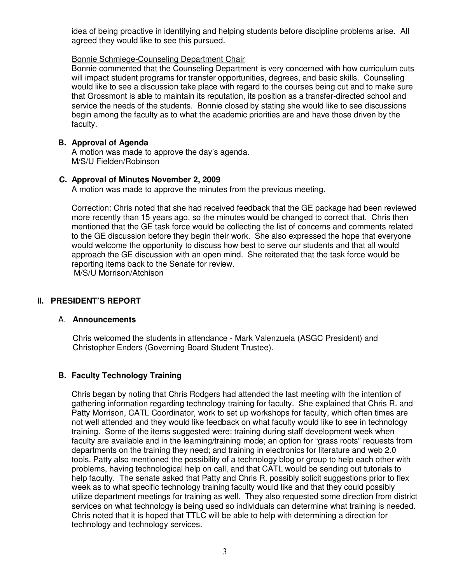idea of being proactive in identifying and helping students before discipline problems arise. All agreed they would like to see this pursued.

#### Bonnie Schmiege-Counseling Department Chair

Bonnie commented that the Counseling Department is very concerned with how curriculum cuts will impact student programs for transfer opportunities, degrees, and basic skills. Counseling would like to see a discussion take place with regard to the courses being cut and to make sure that Grossmont is able to maintain its reputation, its position as a transfer-directed school and service the needs of the students. Bonnie closed by stating she would like to see discussions begin among the faculty as to what the academic priorities are and have those driven by the faculty.

#### **B. Approval of Agenda**

A motion was made to approve the day's agenda. M/S/U Fielden/Robinson

#### **C. Approval of Minutes November 2, 2009**

A motion was made to approve the minutes from the previous meeting.

Correction: Chris noted that she had received feedback that the GE package had been reviewed more recently than 15 years ago, so the minutes would be changed to correct that. Chris then mentioned that the GE task force would be collecting the list of concerns and comments related to the GE discussion before they begin their work. She also expressed the hope that everyone would welcome the opportunity to discuss how best to serve our students and that all would approach the GE discussion with an open mind. She reiterated that the task force would be reporting items back to the Senate for review.

M/S/U Morrison/Atchison

#### **II. PRESIDENT'S REPORT**

#### A. **Announcements**

Chris welcomed the students in attendance - Mark Valenzuela (ASGC President) and Christopher Enders (Governing Board Student Trustee).

#### **B. Faculty Technology Training**

Chris began by noting that Chris Rodgers had attended the last meeting with the intention of gathering information regarding technology training for faculty. She explained that Chris R. and Patty Morrison, CATL Coordinator, work to set up workshops for faculty, which often times are not well attended and they would like feedback on what faculty would like to see in technology training. Some of the items suggested were: training during staff development week when faculty are available and in the learning/training mode; an option for "grass roots" requests from departments on the training they need; and training in electronics for literature and web 2.0 tools. Patty also mentioned the possibility of a technology blog or group to help each other with problems, having technological help on call, and that CATL would be sending out tutorials to help faculty. The senate asked that Patty and Chris R. possibly solicit suggestions prior to flex week as to what specific technology training faculty would like and that they could possibly utilize department meetings for training as well. They also requested some direction from district services on what technology is being used so individuals can determine what training is needed. Chris noted that it is hoped that TTLC will be able to help with determining a direction for technology and technology services.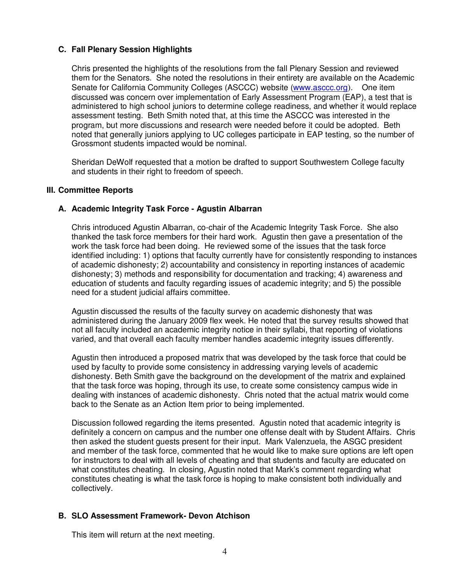#### **C. Fall Plenary Session Highlights**

Chris presented the highlights of the resolutions from the fall Plenary Session and reviewed them for the Senators. She noted the resolutions in their entirety are available on the Academic Senate for California Community Colleges (ASCCC) website (www.asccc.org). One item discussed was concern over implementation of Early Assessment Program (EAP), a test that is administered to high school juniors to determine college readiness, and whether it would replace assessment testing. Beth Smith noted that, at this time the ASCCC was interested in the program, but more discussions and research were needed before it could be adopted. Beth noted that generally juniors applying to UC colleges participate in EAP testing, so the number of Grossmont students impacted would be nominal.

Sheridan DeWolf requested that a motion be drafted to support Southwestern College faculty and students in their right to freedom of speech.

#### **III. Committee Reports**

#### **A. Academic Integrity Task Force - Agustin Albarran**

Chris introduced Agustin Albarran, co-chair of the Academic Integrity Task Force. She also thanked the task force members for their hard work. Agustin then gave a presentation of the work the task force had been doing. He reviewed some of the issues that the task force identified including: 1) options that faculty currently have for consistently responding to instances of academic dishonesty; 2) accountability and consistency in reporting instances of academic dishonesty; 3) methods and responsibility for documentation and tracking; 4) awareness and education of students and faculty regarding issues of academic integrity; and 5) the possible need for a student judicial affairs committee.

Agustin discussed the results of the faculty survey on academic dishonesty that was administered during the January 2009 flex week. He noted that the survey results showed that not all faculty included an academic integrity notice in their syllabi, that reporting of violations varied, and that overall each faculty member handles academic integrity issues differently.

Agustin then introduced a proposed matrix that was developed by the task force that could be used by faculty to provide some consistency in addressing varying levels of academic dishonesty. Beth Smith gave the background on the development of the matrix and explained that the task force was hoping, through its use, to create some consistency campus wide in dealing with instances of academic dishonesty. Chris noted that the actual matrix would come back to the Senate as an Action Item prior to being implemented.

Discussion followed regarding the items presented. Agustin noted that academic integrity is definitely a concern on campus and the number one offense dealt with by Student Affairs. Chris then asked the student guests present for their input. Mark Valenzuela, the ASGC president and member of the task force, commented that he would like to make sure options are left open for instructors to deal with all levels of cheating and that students and faculty are educated on what constitutes cheating. In closing, Agustin noted that Mark's comment regarding what constitutes cheating is what the task force is hoping to make consistent both individually and collectively.

#### **B. SLO Assessment Framework- Devon Atchison**

This item will return at the next meeting.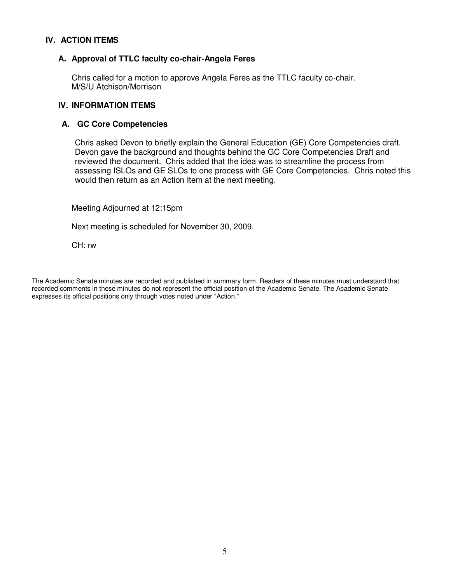#### **IV. ACTION ITEMS**

#### **A. Approval of TTLC faculty co-chair-Angela Feres**

Chris called for a motion to approve Angela Feres as the TTLC faculty co-chair. M/S/U Atchison/Morrison

#### **IV. INFORMATION ITEMS**

#### **A. GC Core Competencies**

Chris asked Devon to briefly explain the General Education (GE) Core Competencies draft. Devon gave the background and thoughts behind the GC Core Competencies Draft and reviewed the document. Chris added that the idea was to streamline the process from assessing ISLOs and GE SLOs to one process with GE Core Competencies. Chris noted this would then return as an Action Item at the next meeting.

Meeting Adjourned at 12:15pm

Next meeting is scheduled for November 30, 2009.

CH: rw

The Academic Senate minutes are recorded and published in summary form. Readers of these minutes must understand that recorded comments in these minutes do not represent the official position of the Academic Senate. The Academic Senate expresses its official positions only through votes noted under "Action."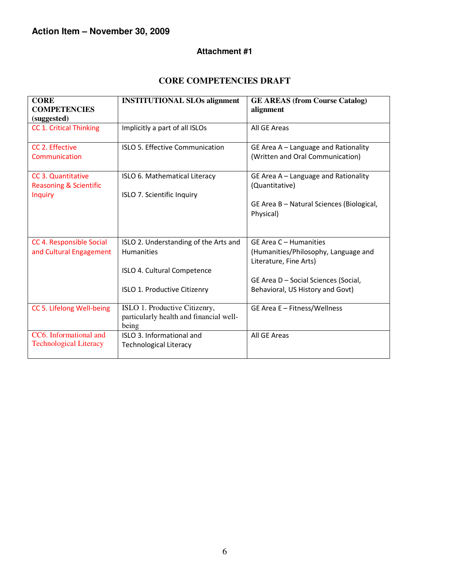#### **Attachment #1**

#### **CORE COMPETENCIES DRAFT**

| <b>CORE</b>                                             | <b>INSTITUTIONAL SLOs alignment</b>                                                       | <b>GE AREAS (from Course Catalog)</b>                                                    |
|---------------------------------------------------------|-------------------------------------------------------------------------------------------|------------------------------------------------------------------------------------------|
| <b>COMPETENCIES</b><br>(suggested)                      |                                                                                           | alignment                                                                                |
| <b>CC 1. Critical Thinking</b>                          | Implicitly a part of all ISLOs                                                            | All GE Areas                                                                             |
| CC 2. Effective<br>Communication                        | ISLO 5. Effective Communication                                                           | GE Area A - Language and Rationality<br>(Written and Oral Communication)                 |
| CC 3. Quantitative<br><b>Reasoning &amp; Scientific</b> | ISLO 6. Mathematical Literacy                                                             | GE Area A - Language and Rationality<br>(Quantitative)                                   |
| <b>Inquiry</b>                                          | ISLO 7. Scientific Inquiry                                                                | GE Area B - Natural Sciences (Biological,<br>Physical)                                   |
| CC 4. Responsible Social<br>and Cultural Engagement     | ISLO 2. Understanding of the Arts and<br><b>Humanities</b><br>ISLO 4. Cultural Competence | GE Area C - Humanities<br>(Humanities/Philosophy, Language and<br>Literature, Fine Arts) |
|                                                         | ISLO 1. Productive Citizenry                                                              | GE Area D - Social Sciences (Social,<br>Behavioral, US History and Govt)                 |
| CC 5. Lifelong Well-being                               | ISLO 1. Productive Citizenry,<br>particularly health and financial well-<br>being         | GE Area E - Fitness/Wellness                                                             |
| CC6. Informational and<br><b>Technological Literacy</b> | ISLO 3. Informational and<br><b>Technological Literacy</b>                                | All GE Areas                                                                             |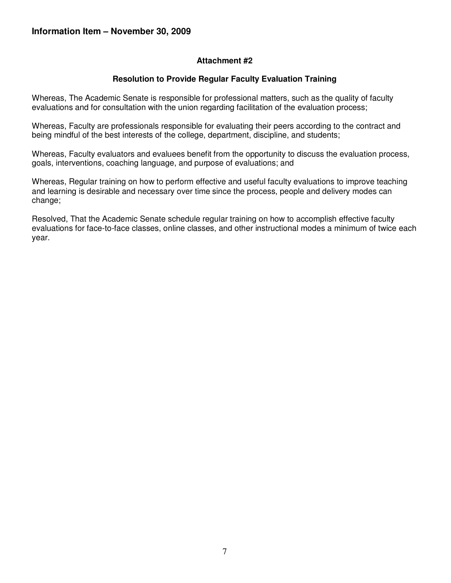#### **Attachment #2**

#### **Resolution to Provide Regular Faculty Evaluation Training**

Whereas, The Academic Senate is responsible for professional matters, such as the quality of faculty evaluations and for consultation with the union regarding facilitation of the evaluation process;

Whereas, Faculty are professionals responsible for evaluating their peers according to the contract and being mindful of the best interests of the college, department, discipline, and students;

Whereas, Faculty evaluators and evaluees benefit from the opportunity to discuss the evaluation process, goals, interventions, coaching language, and purpose of evaluations; and

Whereas, Regular training on how to perform effective and useful faculty evaluations to improve teaching and learning is desirable and necessary over time since the process, people and delivery modes can change;

Resolved, That the Academic Senate schedule regular training on how to accomplish effective faculty evaluations for face-to-face classes, online classes, and other instructional modes a minimum of twice each year.